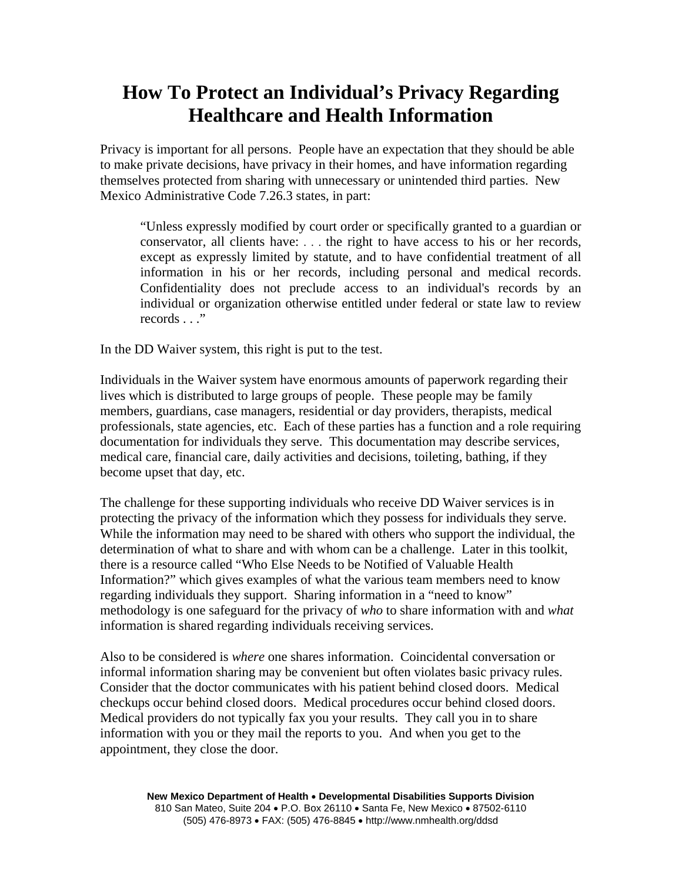## **How To Protect an Individual's Privacy Regarding Healthcare and Health Information**

Privacy is important for all persons. People have an expectation that they should be able to make private decisions, have privacy in their homes, and have information regarding themselves protected from sharing with unnecessary or unintended third parties. New Mexico Administrative Code 7.26.3 states, in part:

"Unless expressly modified by court order or specifically granted to a guardian or conservator, all clients have: . . . the right to have access to his or her records, except as expressly limited by statute, and to have confidential treatment of all information in his or her records, including personal and medical records. Confidentiality does not preclude access to an individual's records by an individual or organization otherwise entitled under federal or state law to review records . . ."

In the DD Waiver system, this right is put to the test.

Individuals in the Waiver system have enormous amounts of paperwork regarding their lives which is distributed to large groups of people. These people may be family members, guardians, case managers, residential or day providers, therapists, medical professionals, state agencies, etc. Each of these parties has a function and a role requiring documentation for individuals they serve. This documentation may describe services, medical care, financial care, daily activities and decisions, toileting, bathing, if they become upset that day, etc.

The challenge for these supporting individuals who receive DD Waiver services is in protecting the privacy of the information which they possess for individuals they serve. While the information may need to be shared with others who support the individual, the determination of what to share and with whom can be a challenge. Later in this toolkit, there is a resource called "Who Else Needs to be Notified of Valuable Health Information?" which gives examples of what the various team members need to know regarding individuals they support. Sharing information in a "need to know" methodology is one safeguard for the privacy of *who* to share information with and *what*  information is shared regarding individuals receiving services.

Also to be considered is *where* one shares information. Coincidental conversation or informal information sharing may be convenient but often violates basic privacy rules. Consider that the doctor communicates with his patient behind closed doors. Medical checkups occur behind closed doors. Medical procedures occur behind closed doors. Medical providers do not typically fax you your results. They call you in to share information with you or they mail the reports to you. And when you get to the appointment, they close the door.